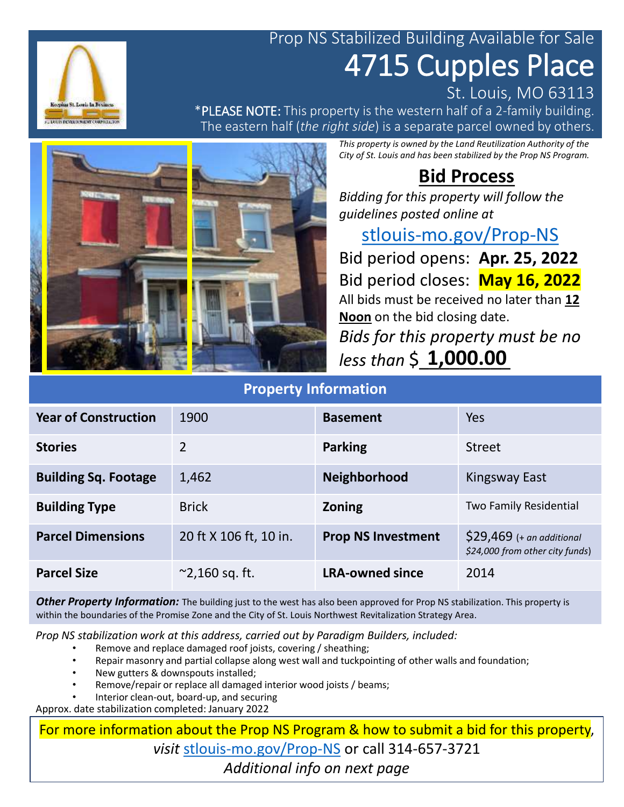## Prop NS Stabilized Building Available for Sale 4715 Cupples Place

\*PLEASE NOTE: This property is the western half of a 2-family building. The eastern half (*the right side*) is a separate parcel owned by others.

> *This property is owned by the Land Reutilization Authority of the City of St. Louis and has been stabilized by the Prop NS Program.*

### **Bid Process**

St. Louis, MO 63113

*Bidding for this property will follow the guidelines posted online at* 

#### [stlouis-mo.gov/Prop-NS](https://stlouis-mo.gov/Prop-NS)

Bid period opens: **Apr. 25, 2022** Bid period closes: **May 16, 2022** All bids must be received no later than **12 Noon** on the bid closing date. *Bids for this property must be no* 

*less than* \$\_\_\_\_\_\_\_\_\_ **1,000.00**

### **Property Information**

| <b>Year of Construction</b> | 1900                    | <b>Basement</b>           | Yes                                                           |
|-----------------------------|-------------------------|---------------------------|---------------------------------------------------------------|
| <b>Stories</b>              | 2                       | <b>Parking</b>            | <b>Street</b>                                                 |
| <b>Building Sq. Footage</b> | 1,462                   | <b>Neighborhood</b>       | Kingsway East                                                 |
| <b>Building Type</b>        | <b>Brick</b>            | <b>Zoning</b>             | Two Family Residential                                        |
| <b>Parcel Dimensions</b>    | 20 ft X 106 ft, 10 in.  | <b>Prop NS Investment</b> | $$29,469$ (+ an additional<br>\$24,000 from other city funds) |
| <b>Parcel Size</b>          | $^{\sim}$ 2,160 sq. ft. | <b>LRA-owned since</b>    | 2014                                                          |

**Other Property Information:** The building just to the west has also been approved for Prop NS stabilization. This property is within the boundaries of the Promise Zone and the City of St. Louis Northwest Revitalization Strategy Area.

*Prop NS stabilization work at this address, carried out by Paradigm Builders, included:*

- Remove and replace damaged roof joists, covering / sheathing;
- Repair masonry and partial collapse along west wall and tuckpointing of other walls and foundation;
- New gutters & downspouts installed;
- Remove/repair or replace all damaged interior wood joists / beams;
- Interior clean-out, board-up, and securing

Approx. date stabilization completed: January 2022

For more information about the Prop NS Program & how to submit a bid for this property, *visit* [stlouis-mo.gov/Prop-NS](https://stlouis-mo.gov/Prop-NS) or call 314-657-3721 *Additional info on next page*